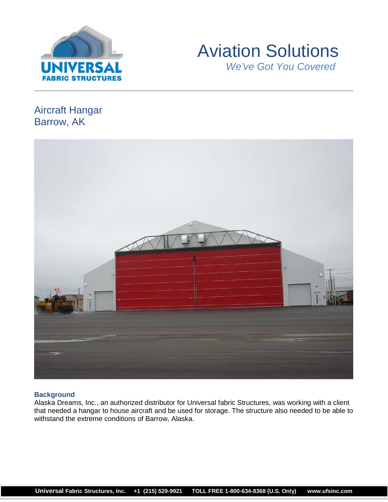



# Aircraft Hangar Barrow, AK



# **Background**

Alaska Dreams, Inc., an authorized distributor for Universal fabric Structures, was working with a client that needed a hangar to house aircraft and be used for storage. The structure also needed to be able to withstand the extreme conditions of Barrow, Alaska.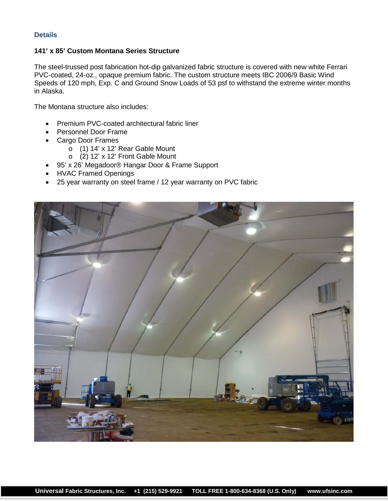# **Details**

## **141' x 85' Custom Montana Series Structure**

The steel-trussed post fabrication hot-dip galvanized fabric structure is covered with new white Ferrari PVC-coated, 24-oz., opaque premium fabric. The custom structure meets IBC 2006/9 Basic Wind Speeds of 120 mph, Exp. C and Ground Snow Loads of 53 psf to withstand the extreme winter months in Alaska.

The Montana structure also includes:

- Premium PVC-coated architectural fabric liner
- Personnel Door Frame
- Cargo Door Frames
	- o (1) 14' x 12' Rear Gable Mount
	- o (2) 12' x 12' Front Gable Mount
- 95' x 26' Megadoor® Hangar Door & Frame Support
- HVAC Framed Openings
- 25 year warranty on steel frame / 12 year warranty on PVC fabric